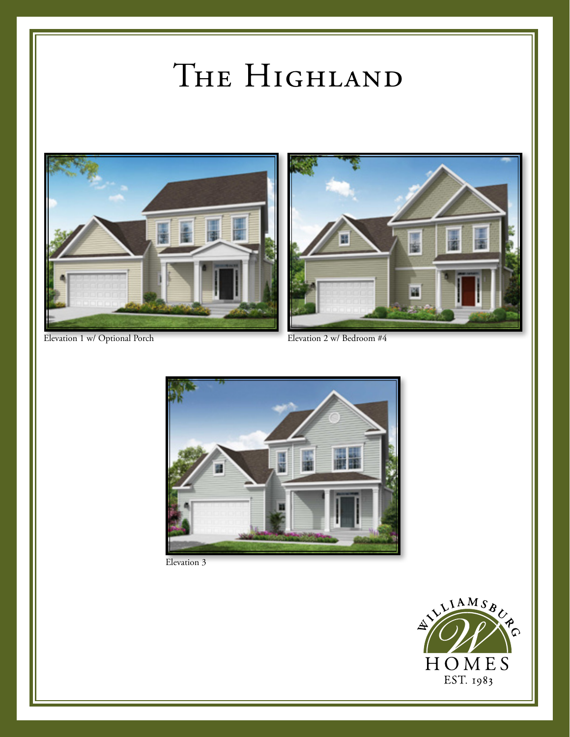## THE HIGHLAND









Elevation 3